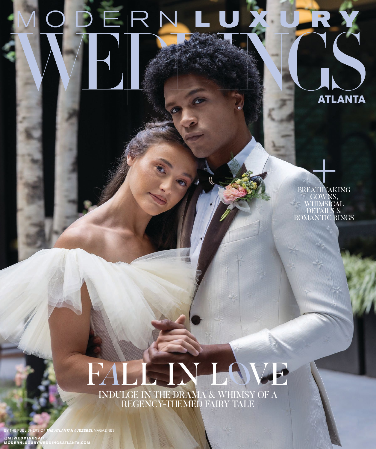# ODERNLUX

BREATHTAKING GOWNS, WHIMSICAL DETAILS & ROMANTIC RINGS

**ATLANTA** 

## INDULGE IN THE DRAMA & WHIMSY OF A REGENCY-THEMED FAIRY TALE FALL IN LOVE

BY THE PUBLISHERS OF *THE ATLANTAN* & *JEZEBEL* MAGAZINES @M**LWEDDINGSAT**L<br>**MODERNLUXURY**WEDDINGSATLANTA.COM